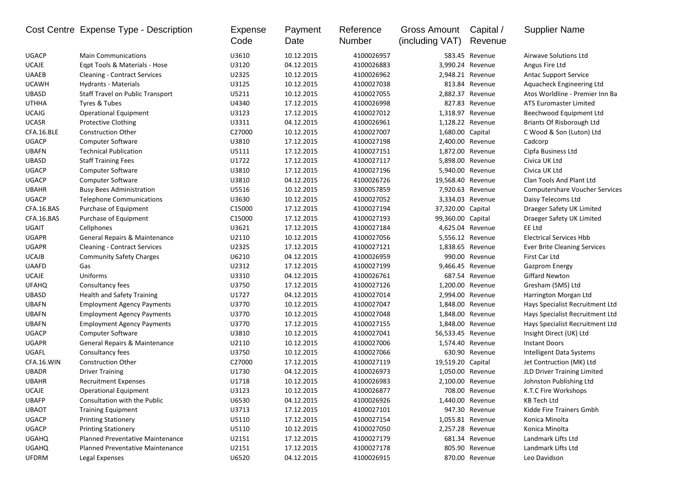|              | Cost Centre Expense Type - Description  | Expense<br>Code | Payment<br>Date | Reference<br>Number | <b>Gross Amount</b><br>(including VAT) | Capital /<br>Revenue | <b>Supplier Name</b>                  |
|--------------|-----------------------------------------|-----------------|-----------------|---------------------|----------------------------------------|----------------------|---------------------------------------|
| <b>UGACP</b> | <b>Main Communications</b>              | U3610           | 10.12.2015      | 4100026957          |                                        | 583.45 Revenue       | <b>Airwave Solutions Ltd</b>          |
| <b>UCAJE</b> | Egpt Tools & Materials - Hose           | U3120           | 04.12.2015      | 4100026883          |                                        | 3,990.24 Revenue     | Angus Fire Ltd                        |
| <b>UAAEB</b> | <b>Cleaning - Contract Services</b>     | U2325           | 10.12.2015      | 4100026962          |                                        | 2,948.21 Revenue     | <b>Antac Support Service</b>          |
| <b>UCAWH</b> | Hydrants - Materials                    | U3125           | 10.12.2015      | 4100027038          |                                        | 813.84 Revenue       | Aquacheck Engineering Ltd             |
| <b>UBASD</b> | <b>Staff Travel on Public Transport</b> | U5211           | 10.12.2015      | 4100027055          |                                        | 2,882.37 Revenue     | Atos Worldline - Premier Inn Ba       |
| <b>UTHHA</b> | Tyres & Tubes                           | U4340           | 17.12.2015      | 4100026998          |                                        | 827.83 Revenue       | <b>ATS Euromaster Limited</b>         |
| <b>UCAJG</b> | <b>Operational Equipment</b>            | U3123           | 17.12.2015      | 4100027012          |                                        | 1,318.97 Revenue     | Beechwood Equipment Ltd               |
| <b>UCASR</b> | <b>Protective Clothing</b>              | U3311           | 04.12.2015      | 4100026961          |                                        | 1,128.22 Revenue     | Briants Of Risborough Ltd             |
| CFA.16.BLE   | <b>Construction Other</b>               | C27000          | 10.12.2015      | 4100027007          | 1,680.00 Capital                       |                      | C Wood & Son (Luton) Ltd              |
| <b>UGACP</b> | Computer Software                       | U3810           | 17.12.2015      | 4100027198          |                                        | 2,400.00 Revenue     | Cadcorp                               |
| <b>UBAFN</b> | <b>Technical Publication</b>            | U5111           | 17.12.2015      | 4100027151          |                                        | 1,872.00 Revenue     | Cipfa Business Ltd                    |
| <b>UBASD</b> | <b>Staff Training Fees</b>              | U1722           | 17.12.2015      | 4100027117          |                                        | 5,898.00 Revenue     | Civica UK Ltd                         |
| <b>UGACP</b> | <b>Computer Software</b>                | U3810           | 17.12.2015      | 4100027196          |                                        | 5,940.00 Revenue     | Civica UK Ltd                         |
| <b>UGACP</b> | Computer Software                       | U3810           | 04.12.2015      | 4100026726          | 19,568.40 Revenue                      |                      | Clan Tools And Plant Ltd              |
| <b>UBAHR</b> | <b>Busy Bees Administration</b>         | U5516           | 10.12.2015      | 3300057859          |                                        | 7,920.63 Revenue     | <b>Computershare Voucher Services</b> |
| <b>UGACP</b> | <b>Telephone Communications</b>         | U3630           | 10.12.2015      | 4100027052          |                                        | 3,334.03 Revenue     | Daisy Telecoms Ltd                    |
| CFA.16.BAS   | Purchase of Equipment                   | C15000          | 17.12.2015      | 4100027194          | 37,320.00 Capital                      |                      | Draeger Safety UK Limited             |
| CFA.16.BAS   | Purchase of Equipment                   | C15000          | 17.12.2015      | 4100027193          | 99,360.00 Capital                      |                      | Draeger Safety UK Limited             |
| UGAIT        | Cellphones                              | U3621           | 17.12.2015      | 4100027184          |                                        | 4,625.04 Revenue     | EE Ltd                                |
| <b>UGAPR</b> | General Repairs & Maintenance           | U2110           | 10.12.2015      | 4100027056          |                                        | 5,556.12 Revenue     | <b>Electrical Services Hbb</b>        |
| <b>UGAPR</b> | <b>Cleaning - Contract Services</b>     | U2325           | 17.12.2015      | 4100027121          |                                        | 1,838.65 Revenue     | <b>Ever Brite Cleaning Services</b>   |
| <b>UCAJB</b> | <b>Community Safety Charges</b>         | U6210           | 04.12.2015      | 4100026959          |                                        | 990.00 Revenue       | First Car Ltd                         |
| <b>UAAFD</b> | Gas                                     | U2312           | 17.12.2015      | 4100027199          |                                        | 9,466.45 Revenue     | <b>Gazprom Energy</b>                 |
| <b>UCAJE</b> | Uniforms                                | U3310           | 04.12.2015      | 4100026761          |                                        | 687.54 Revenue       | <b>Giffard Newton</b>                 |
| <b>UFAHQ</b> | Consultancy fees                        | U3750           | 17.12.2015      | 4100027126          |                                        | 1,200.00 Revenue     | Gresham (SMS) Ltd                     |
| <b>UBASD</b> | <b>Health and Safety Training</b>       | U1727           | 04.12.2015      | 4100027014          |                                        | 2,994.00 Revenue     | Harrington Morgan Ltd                 |
| <b>UBAFN</b> | <b>Employment Agency Payments</b>       | U3770           | 10.12.2015      | 4100027047          |                                        | 1,848.00 Revenue     | Hays Specialist Recruitment Ltd       |
| <b>UBAFN</b> | <b>Employment Agency Payments</b>       | U3770           | 10.12.2015      | 4100027048          |                                        | 1,848.00 Revenue     | Hays Specialist Recruitment Ltd       |
| <b>UBAFN</b> | <b>Employment Agency Payments</b>       | U3770           | 17.12.2015      | 4100027155          |                                        | 1,848.00 Revenue     | Hays Specialist Recruitment Ltd       |
| <b>UGACP</b> | <b>Computer Software</b>                | U3810           | 10.12.2015      | 4100027041          | 56,533.45 Revenue                      |                      | Insight Direct (UK) Ltd               |
| <b>UGAPR</b> | General Repairs & Maintenance           | U2110           | 10.12.2015      | 4100027006          |                                        | 1,574.40 Revenue     | <b>Instant Doors</b>                  |
| UGAFL        | Consultancy fees                        | U3750           | 10.12.2015      | 4100027066          |                                        | 630.90 Revenue       | Intelligent Data Systems              |
| CFA.16.WIN   | <b>Construction Other</b>               | C27000          | 17.12.2015      | 4100027119          | 19,519.20 Capital                      |                      | Jet Contruction (MK) Ltd              |
| <b>UBADR</b> | <b>Driver Training</b>                  | U1730           | 04.12.2015      | 4100026973          |                                        | 1,050.00 Revenue     | JLD Driver Training Limited           |
| <b>UBAHR</b> | <b>Recruitment Expenses</b>             | U1718           | 10.12.2015      | 4100026983          |                                        | 2,100.00 Revenue     | Johnston Publishing Ltd               |
| <b>UCAJE</b> | <b>Operational Equipment</b>            | U3123           | 10.12.2015      | 4100026877          |                                        | 708.00 Revenue       | K.T.C Fire Workshops                  |
| UBAFP        | Consultation with the Public            | U6530           | 04.12.2015      | 4100026926          |                                        | 1,440.00 Revenue     | <b>KB Tech Ltd</b>                    |
| <b>UBAOT</b> | <b>Training Equipment</b>               | U3713           | 17.12.2015      | 4100027101          |                                        | 947.30 Revenue       | Kidde Fire Trainers Gmbh              |
| <b>UGACP</b> | <b>Printing Stationery</b>              | U5110           | 17.12.2015      | 4100027154          |                                        | 1,055.81 Revenue     | Konica Minolta                        |
| <b>UGACP</b> | <b>Printing Stationery</b>              | U5110           | 10.12.2015      | 4100027050          |                                        | 2,257.28 Revenue     | Konica Minolta                        |
| <b>UGAHQ</b> | Planned Preventative Maintenance        | U2151           | 17.12.2015      | 4100027179          |                                        | 681.34 Revenue       | Landmark Lifts Ltd                    |
| <b>UGAHQ</b> | <b>Planned Preventative Maintenance</b> | U2151           | 17.12.2015      | 4100027178          |                                        | 805.90 Revenue       | Landmark Lifts Ltd                    |
| <b>UFDRM</b> | Legal Expenses                          | U6520           | 04.12.2015      | 4100026915          |                                        | 870.00 Revenue       | Leo Davidson                          |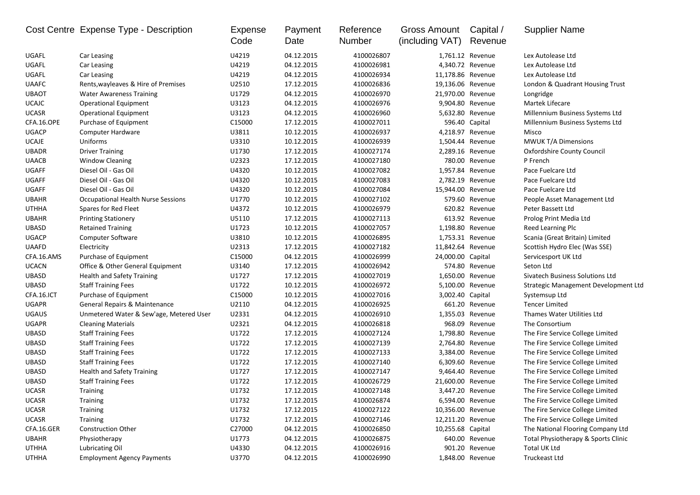|              | Cost Centre Expense Type - Description    | Expense<br>Code | Payment<br>Date | Reference<br>Number | Gross Amount<br>(including VAT) | Capital /<br>Revenue | <b>Supplier Name</b>                 |
|--------------|-------------------------------------------|-----------------|-----------------|---------------------|---------------------------------|----------------------|--------------------------------------|
| UGAFL        | Car Leasing                               | U4219           | 04.12.2015      | 4100026807          |                                 | 1,761.12 Revenue     | Lex Autolease Ltd                    |
| UGAFL        | Car Leasing                               | U4219           | 04.12.2015      | 4100026981          |                                 | 4,340.72 Revenue     | Lex Autolease Ltd                    |
| UGAFL        | Car Leasing                               | U4219           | 04.12.2015      | 4100026934          | 11,178.86 Revenue               |                      | Lex Autolease Ltd                    |
| <b>UAAFC</b> | Rents, wayleaves & Hire of Premises       | U2510           | 17.12.2015      | 4100026836          | 19,136.06 Revenue               |                      | London & Quadrant Housing Trust      |
| <b>UBAOT</b> | <b>Water Awareness Training</b>           | U1729           | 04.12.2015      | 4100026970          | 21,970.00 Revenue               |                      | Longridge                            |
| <b>UCAJC</b> | <b>Operational Equipment</b>              | U3123           | 04.12.2015      | 4100026976          |                                 | 9,904.80 Revenue     | Martek Lifecare                      |
| <b>UCASR</b> | <b>Operational Equipment</b>              | U3123           | 04.12.2015      | 4100026960          |                                 | 5,632.80 Revenue     | Millennium Business Systems Ltd      |
| CFA.16.OPE   | Purchase of Equipment                     | C15000          | 17.12.2015      | 4100027011          |                                 | 596.40 Capital       | Millennium Business Systems Ltd      |
| <b>UGACP</b> | Computer Hardware                         | U3811           | 10.12.2015      | 4100026937          |                                 | 4,218.97 Revenue     | Misco                                |
| <b>UCAJE</b> | Uniforms                                  | U3310           | 10.12.2015      | 4100026939          |                                 | 1,504.44 Revenue     | <b>MWUK T/A Dimensions</b>           |
| <b>UBADR</b> | <b>Driver Training</b>                    | U1730           | 17.12.2015      | 4100027174          |                                 | 2,289.16 Revenue     | Oxfordshire County Council           |
| <b>UAACB</b> | <b>Window Cleaning</b>                    | U2323           | 17.12.2015      | 4100027180          |                                 | 780.00 Revenue       | P French                             |
| <b>UGAFF</b> | Diesel Oil - Gas Oil                      | U4320           | 10.12.2015      | 4100027082          |                                 | 1,957.84 Revenue     | Pace Fuelcare Ltd                    |
| <b>UGAFF</b> | Diesel Oil - Gas Oil                      | U4320           | 10.12.2015      | 4100027083          |                                 | 2,782.19 Revenue     | Pace Fuelcare Ltd                    |
| <b>UGAFF</b> | Diesel Oil - Gas Oil                      | U4320           | 10.12.2015      | 4100027084          | 15,944.00 Revenue               |                      | Pace Fuelcare Ltd                    |
| <b>UBAHR</b> | <b>Occupational Health Nurse Sessions</b> | U1770           | 10.12.2015      | 4100027102          |                                 | 579.60 Revenue       | People Asset Management Ltd          |
| <b>UTHHA</b> | Spares for Red Fleet                      | U4372           | 10.12.2015      | 4100026979          |                                 | 620.82 Revenue       | Peter Bassett Ltd                    |
| <b>UBAHR</b> | <b>Printing Stationery</b>                | U5110           | 17.12.2015      | 4100027113          |                                 | 613.92 Revenue       | Prolog Print Media Ltd               |
| <b>UBASD</b> | <b>Retained Training</b>                  | U1723           | 10.12.2015      | 4100027057          |                                 | 1,198.80 Revenue     | Reed Learning Plc                    |
| <b>UGACP</b> | Computer Software                         | U3810           | 10.12.2015      | 4100026895          |                                 | 1,753.31 Revenue     | Scania (Great Britain) Limited       |
| <b>UAAFD</b> | Electricity                               | U2313           | 17.12.2015      | 4100027182          | 11,842.64 Revenue               |                      | Scottish Hydro Elec (Was SSE)        |
| CFA.16.AMS   | Purchase of Equipment                     | C15000          | 04.12.2015      | 4100026999          | 24,000.00 Capital               |                      | Servicesport UK Ltd                  |
| <b>UCACN</b> | Office & Other General Equipment          | U3140           | 17.12.2015      | 4100026942          |                                 | 574.80 Revenue       | Seton Ltd                            |
| <b>UBASD</b> | <b>Health and Safety Training</b>         | U1727           | 17.12.2015      | 4100027019          |                                 | 1,650.00 Revenue     | Sivatech Business Solutions Ltd      |
| <b>UBASD</b> | <b>Staff Training Fees</b>                | U1722           | 10.12.2015      | 4100026972          |                                 | 5,100.00 Revenue     | Strategic Management Development Ltd |
| CFA.16.ICT   | Purchase of Equipment                     | C15000          | 10.12.2015      | 4100027016          | 3,002.40 Capital                |                      | Systemsup Ltd                        |
| <b>UGAPR</b> | General Repairs & Maintenance             | U2110           | 04.12.2015      | 4100026925          |                                 | 661.20 Revenue       | <b>Tencer Limited</b>                |
| <b>UGAUS</b> | Unmetered Water & Sew'age, Metered User   | U2331           | 04.12.2015      | 4100026910          |                                 | 1,355.03 Revenue     | Thames Water Utilities Ltd           |
| <b>UGAPR</b> | <b>Cleaning Materials</b>                 | U2321           | 04.12.2015      | 4100026818          |                                 | 968.09 Revenue       | The Consortium                       |
| <b>UBASD</b> | <b>Staff Training Fees</b>                | U1722           | 17.12.2015      | 4100027124          |                                 | 1,798.80 Revenue     | The Fire Service College Limited     |
| <b>UBASD</b> | <b>Staff Training Fees</b>                | U1722           | 17.12.2015      | 4100027139          |                                 | 2,764.80 Revenue     | The Fire Service College Limited     |
| <b>UBASD</b> | <b>Staff Training Fees</b>                | U1722           | 17.12.2015      | 4100027133          |                                 | 3,384.00 Revenue     | The Fire Service College Limited     |
| <b>UBASD</b> | <b>Staff Training Fees</b>                | U1722           | 17.12.2015      | 4100027140          |                                 | 6,309.60 Revenue     | The Fire Service College Limited     |
| <b>UBASD</b> | <b>Health and Safety Training</b>         | U1727           | 17.12.2015      | 4100027147          |                                 | 9,464.40 Revenue     | The Fire Service College Limited     |
| <b>UBASD</b> | <b>Staff Training Fees</b>                | U1722           | 17.12.2015      | 4100026729          | 21,600.00 Revenue               |                      | The Fire Service College Limited     |
| <b>UCASR</b> | <b>Training</b>                           | U1732           | 17.12.2015      | 4100027148          |                                 | 3,447.20 Revenue     | The Fire Service College Limited     |
| <b>UCASR</b> | Training                                  | U1732           | 17.12.2015      | 4100026874          |                                 | 6,594.00 Revenue     | The Fire Service College Limited     |
| <b>UCASR</b> | Training                                  | U1732           | 17.12.2015      | 4100027122          | 10,356.00 Revenue               |                      | The Fire Service College Limited     |
| <b>UCASR</b> | <b>Training</b>                           | U1732           | 17.12.2015      | 4100027146          | 12,211.20 Revenue               |                      | The Fire Service College Limited     |
| CFA.16.GER   | Construction Other                        | C27000          | 04.12.2015      | 4100026850          | 10,255.68 Capital               |                      | The National Flooring Company Ltd    |
| <b>UBAHR</b> | Physiotherapy                             | U1773           | 04.12.2015      | 4100026875          |                                 | 640.00 Revenue       | Total Physiotherapy & Sports Clinic  |
| <b>UTHHA</b> | Lubricating Oil                           | U4330           | 04.12.2015      | 4100026916          |                                 | 901.20 Revenue       | Total UK Ltd                         |
| UTHHA        | <b>Employment Agency Payments</b>         | U3770           | 04.12.2015      | 4100026990          |                                 | 1,848.00 Revenue     | Truckeast Ltd                        |
|              |                                           |                 |                 |                     |                                 |                      |                                      |